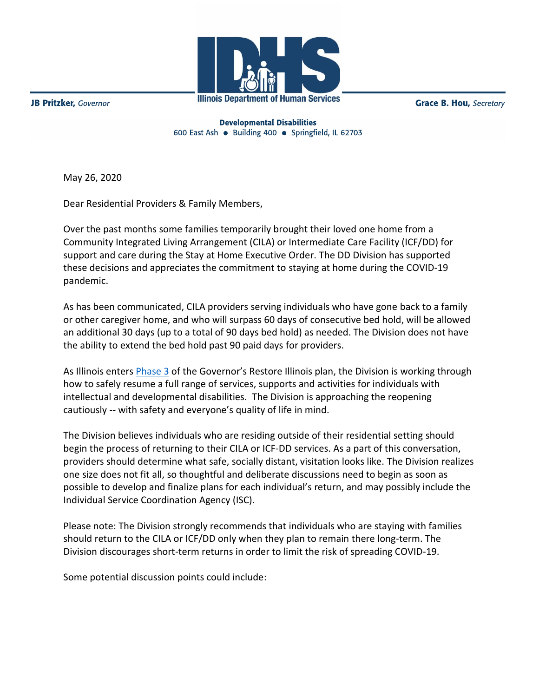**Illinois Department of Human Services** 

**Grace B. Hou, Secretary** 

**JB Pritzker**, Governor

**Developmental Disabilities** 600 East Ash · Building 400 · Springfield, IL 62703

May 26, 2020

Dear Residential Providers & Family Members,

Over the past months some families temporarily brought their loved one home from a Community Integrated Living Arrangement (CILA) or Intermediate Care Facility (ICF/DD) for support and care during the Stay at Home Executive Order. The DD Division has supported these decisions and appreciates the commitment to staying at home during the COVID-19 pandemic.

As has been communicated, CILA providers serving individuals who have gone back to a family or other caregiver home, and who will surpass 60 days of consecutive bed hold, will be allowed an additional 30 days (up to a total of 90 days bed hold) as needed. The Division does not have the ability to extend the bed hold past 90 paid days for providers.

As Illinois enters [Phase 3](https://coronavirus.illinois.gov/s/restore-illinois-phase-3) of the Governor's Restore Illinois plan, the Division is working through how to safely resume a full range of services, supports and activities for individuals with intellectual and developmental disabilities. The Division is approaching the reopening cautiously -- with safety and everyone's quality of life in mind.

The Division believes individuals who are residing outside of their residential setting should begin the process of returning to their CILA or ICF-DD services. As a part of this conversation, providers should determine what safe, socially distant, visitation looks like. The Division realizes one size does not fit all, so thoughtful and deliberate discussions need to begin as soon as possible to develop and finalize plans for each individual's return, and may possibly include the Individual Service Coordination Agency (ISC).

Please note: The Division strongly recommends that individuals who are staying with families should return to the CILA or ICF/DD only when they plan to remain there long-term. The Division discourages short-term returns in order to limit the risk of spreading COVID-19.

Some potential discussion points could include: